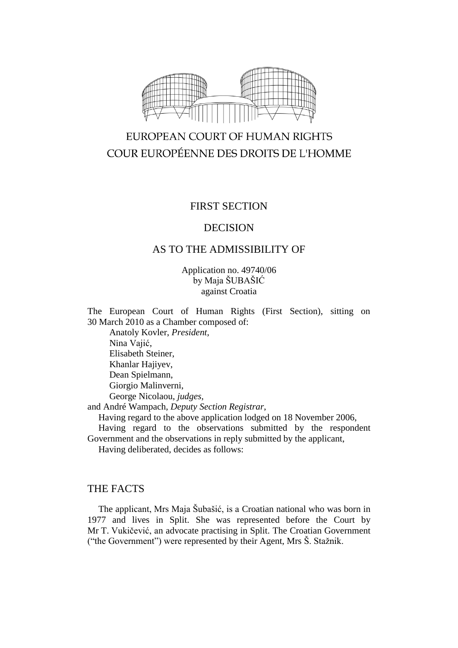

# EUROPEAN COURT OF HUMAN RIGHTS COUR EUROPÉENNE DES DROITS DE L'HOMME

## FIRST SECTION

## DECISION

## AS TO THE ADMISSIBILITY OF

Application no. 49740/06 by Maja ŠUBAŠIĆ against Croatia

The European Court of Human Rights (First Section), sitting on 30 March 2010 as a Chamber composed of:

Anatoly Kovler, *President,* Nina Vajić, Elisabeth Steiner, Khanlar Hajiyev, Dean Spielmann, Giorgio Malinverni, George Nicolaou, *judges,*

and André Wampach, *Deputy Section Registrar*,

Having regard to the above application lodged on 18 November 2006,

Having regard to the observations submitted by the respondent Government and the observations in reply submitted by the applicant,

Having deliberated, decides as follows:

## THE FACTS

The applicant, Mrs Maja Šubašić, is a Croatian national who was born in 1977 and lives in Split. She was represented before the Court by Mr T. Vukičević, an advocate practising in Split. The Croatian Government ("the Government") were represented by their Agent, Mrs Š. Stažnik.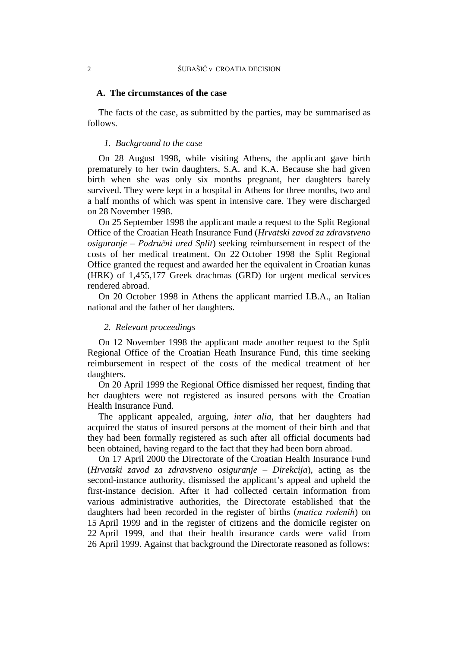## **A. The circumstances of the case**

The facts of the case, as submitted by the parties, may be summarised as follows.

## *1. Background to the case*

On 28 August 1998, while visiting Athens, the applicant gave birth prematurely to her twin daughters, S.A. and K.A. Because she had given birth when she was only six months pregnant, her daughters barely survived. They were kept in a hospital in Athens for three months, two and a half months of which was spent in intensive care. They were discharged on 28 November 1998.

On 25 September 1998 the applicant made a request to the Split Regional Office of the Croatian Heath Insurance Fund (*Hrvatski zavod za zdravstveno osiguranje* – *Područni ured Split*) seeking reimbursement in respect of the costs of her medical treatment. On 22 October 1998 the Split Regional Office granted the request and awarded her the equivalent in Croatian kunas (HRK) of 1,455,177 Greek drachmas (GRD) for urgent medical services rendered abroad.

On 20 October 1998 in Athens the applicant married I.B.A., an Italian national and the father of her daughters.

## *2. Relevant proceedings*

On 12 November 1998 the applicant made another request to the Split Regional Office of the Croatian Heath Insurance Fund, this time seeking reimbursement in respect of the costs of the medical treatment of her daughters.

On 20 April 1999 the Regional Office dismissed her request, finding that her daughters were not registered as insured persons with the Croatian Health Insurance Fund.

The applicant appealed, arguing, *inter alia,* that her daughters had acquired the status of insured persons at the moment of their birth and that they had been formally registered as such after all official documents had been obtained, having regard to the fact that they had been born abroad.

On 17 April 2000 the Directorate of the Croatian Health Insurance Fund (*Hrvatski zavod za zdravstveno osiguranje – Direkcija*), acting as the second-instance authority, dismissed the applicant's appeal and upheld the first-instance decision. After it had collected certain information from various administrative authorities, the Directorate established that the daughters had been recorded in the register of births (*matica rođenih*) on 15 April 1999 and in the register of citizens and the domicile register on 22 April 1999, and that their health insurance cards were valid from 26 April 1999. Against that background the Directorate reasoned as follows: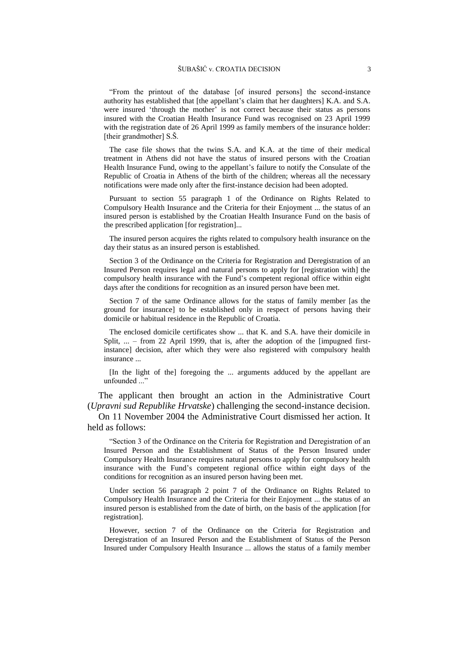"From the printout of the database [of insured persons] the second-instance authority has established that [the appellant's claim that her daughters] K.A. and S.A. were insured 'through the mother' is not correct because their status as persons insured with the Croatian Health Insurance Fund was recognised on 23 April 1999 with the registration date of 26 April 1999 as family members of the insurance holder: [their grandmother] S.S.

The case file shows that the twins S.A. and K.A. at the time of their medical treatment in Athens did not have the status of insured persons with the Croatian Health Insurance Fund, owing to the appellant's failure to notify the Consulate of the Republic of Croatia in Athens of the birth of the children; whereas all the necessary notifications were made only after the first-instance decision had been adopted.

Pursuant to section 55 paragraph 1 of the Ordinance on Rights Related to Compulsory Health Insurance and the Criteria for their Enjoyment ... the status of an insured person is established by the Croatian Health Insurance Fund on the basis of the prescribed application [for registration]...

The insured person acquires the rights related to compulsory health insurance on the day their status as an insured person is established.

Section 3 of the Ordinance on the Criteria for Registration and Deregistration of an Insured Person requires legal and natural persons to apply for [registration with] the compulsory health insurance with the Fund's competent regional office within eight days after the conditions for recognition as an insured person have been met.

Section 7 of the same Ordinance allows for the status of family member [as the ground for insurance] to be established only in respect of persons having their domicile or habitual residence in the Republic of Croatia.

The enclosed domicile certificates show ... that K. and S.A. have their domicile in Split, ... – from 22 April 1999, that is, after the adoption of the [impugned firstinstance] decision, after which they were also registered with compulsory health insurance ...

[In the light of the] foregoing the ... arguments adduced by the appellant are unfounded ..."

The applicant then brought an action in the Administrative Court (*Upravni sud Republike Hrvatske*) challenging the second-instance decision.

On 11 November 2004 the Administrative Court dismissed her action. It held as follows:

"Section 3 of the Ordinance on the Criteria for Registration and Deregistration of an Insured Person and the Establishment of Status of the Person Insured under Compulsory Health Insurance requires natural persons to apply for compulsory health insurance with the Fund's competent regional office within eight days of the conditions for recognition as an insured person having been met.

Under section 56 paragraph 2 point 7 of the Ordinance on Rights Related to Compulsory Health Insurance and the Criteria for their Enjoyment ... the status of an insured person is established from the date of birth, on the basis of the application [for registration].

However, section 7 of the Ordinance on the Criteria for Registration and Deregistration of an Insured Person and the Establishment of Status of the Person Insured under Compulsory Health Insurance ... allows the status of a family member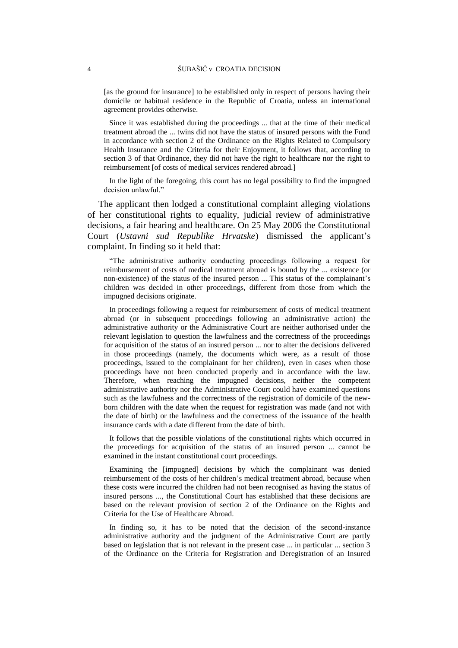[as the ground for insurance] to be established only in respect of persons having their domicile or habitual residence in the Republic of Croatia, unless an international agreement provides otherwise.

Since it was established during the proceedings ... that at the time of their medical treatment abroad the ... twins did not have the status of insured persons with the Fund in accordance with section 2 of the Ordinance on the Rights Related to Compulsory Health Insurance and the Criteria for their Enjoyment, it follows that, according to section 3 of that Ordinance, they did not have the right to healthcare nor the right to reimbursement [of costs of medical services rendered abroad.]

In the light of the foregoing, this court has no legal possibility to find the impugned decision unlawful."

The applicant then lodged a constitutional complaint alleging violations of her constitutional rights to equality, judicial review of administrative decisions, a fair hearing and healthcare. On 25 May 2006 the Constitutional Court (*Ustavni sud Republike Hrvatske*) dismissed the applicant's complaint. In finding so it held that:

"The administrative authority conducting proceedings following a request for reimbursement of costs of medical treatment abroad is bound by the ... existence (or non-existence) of the status of the insured person ... This status of the complainant's children was decided in other proceedings, different from those from which the impugned decisions originate.

In proceedings following a request for reimbursement of costs of medical treatment abroad (or in subsequent proceedings following an administrative action) the administrative authority or the Administrative Court are neither authorised under the relevant legislation to question the lawfulness and the correctness of the proceedings for acquisition of the status of an insured person ... nor to alter the decisions delivered in those proceedings (namely, the documents which were, as a result of those proceedings, issued to the complainant for her children), even in cases when those proceedings have not been conducted properly and in accordance with the law. Therefore, when reaching the impugned decisions, neither the competent administrative authority nor the Administrative Court could have examined questions such as the lawfulness and the correctness of the registration of domicile of the newborn children with the date when the request for registration was made (and not with the date of birth) or the lawfulness and the correctness of the issuance of the health insurance cards with a date different from the date of birth.

It follows that the possible violations of the constitutional rights which occurred in the proceedings for acquisition of the status of an insured person ... cannot be examined in the instant constitutional court proceedings.

Examining the [impugned] decisions by which the complainant was denied reimbursement of the costs of her children's medical treatment abroad, because when these costs were incurred the children had not been recognised as having the status of insured persons ..., the Constitutional Court has established that these decisions are based on the relevant provision of section 2 of the Ordinance on the Rights and Criteria for the Use of Healthcare Abroad.

In finding so, it has to be noted that the decision of the second-instance administrative authority and the judgment of the Administrative Court are partly based on legislation that is not relevant in the present case ... in particular ... section 3 of the Ordinance on the Criteria for Registration and Deregistration of an Insured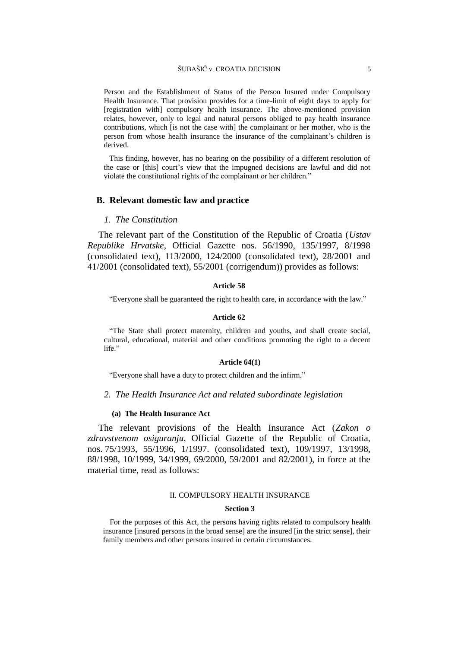#### ŠUBAŠIĆ v. CROATIA DECISION 5

Person and the Establishment of Status of the Person Insured under Compulsory Health Insurance. That provision provides for a time-limit of eight days to apply for [registration with] compulsory health insurance. The above-mentioned provision relates, however, only to legal and natural persons obliged to pay health insurance contributions, which [is not the case with] the complainant or her mother, who is the person from whose health insurance the insurance of the complainant's children is derived.

This finding, however, has no bearing on the possibility of a different resolution of the case or [this] court's view that the impugned decisions are lawful and did not violate the constitutional rights of the complainant or her children."

## **B. Relevant domestic law and practice**

### *1. The Constitution*

The relevant part of the Constitution of the Republic of Croatia (*Ustav Republike Hrvatske*, Official Gazette nos. 56/1990, 135/1997, 8/1998 (consolidated text), 113/2000, 124/2000 (consolidated text), 28/2001 and 41/2001 (consolidated text), 55/2001 (corrigendum)) provides as follows:

#### **Article 58**

"Everyone shall be guaranteed the right to health care, in accordance with the law."

#### **Article 62**

"The State shall protect maternity, children and youths, and shall create social, cultural, educational, material and other conditions promoting the right to a decent life<sup>"</sup>

#### **Article 64(1)**

"Everyone shall have a duty to protect children and the infirm."

### *2. The Health Insurance Act and related subordinate legislation*

#### **(a) The Health Insurance Act**

The relevant provisions of the Health Insurance Act (*Zakon o zdravstvenom osiguranju*, Official Gazette of the Republic of Croatia, nos. 75/1993, 55/1996, 1/1997. (consolidated text), 109/1997, 13/1998, 88/1998, 10/1999, 34/1999, 69/2000, 59/2001 and 82/2001), in force at the material time, read as follows:

#### II. COMPULSORY HEALTH INSURANCE

#### **Section 3**

For the purposes of this Act, the persons having rights related to compulsory health insurance [insured persons in the broad sense] are the insured [in the strict sense], their family members and other persons insured in certain circumstances.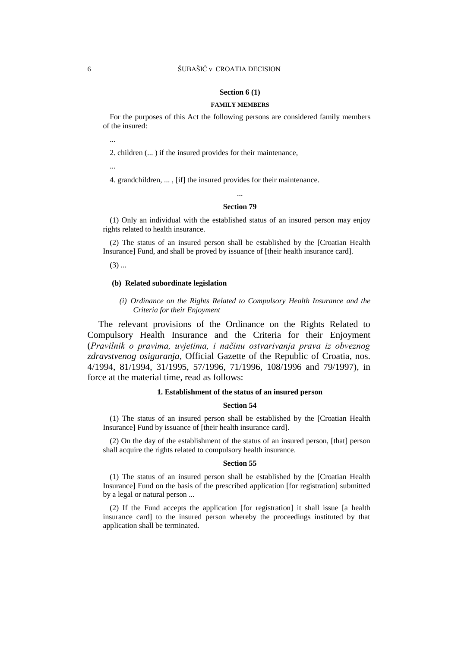## 6 ŠUBAŠIĆ v. CROATIA DECISION

#### **Section 6 (1)**

#### **FAMILY MEMBERS**

For the purposes of this Act the following persons are considered family members of the insured:

2. children (... ) if the insured provides for their maintenance,

...

...

4. grandchildren, ... , [if] the insured provides for their maintenance.

## ... **Section 79**

(1) Only an individual with the established status of an insured person may enjoy rights related to health insurance.

(2) The status of an insured person shall be established by the [Croatian Health Insurance] Fund, and shall be proved by issuance of [their health insurance card].

 $(3)$  ...

## **(b) Related subordinate legislation**

*(i) Ordinance on the Rights Related to Compulsory Health Insurance and the Criteria for their Enjoyment*

The relevant provisions of the Ordinance on the Rights Related to Compulsory Health Insurance and the Criteria for their Enjoyment (*Pravilnik o pravima, uvjetima, i načinu ostvarivanja prava iz obveznog zdravstvenog osiguranja*, Official Gazette of the Republic of Croatia, nos. 4/1994, 81/1994, 31/1995, 57/1996, 71/1996, 108/1996 and 79/1997), in force at the material time, read as follows:

## **1. Establishment of the status of an insured person**

#### **Section 54**

(1) The status of an insured person shall be established by the [Croatian Health Insurance] Fund by issuance of [their health insurance card].

(2) On the day of the establishment of the status of an insured person, [that] person shall acquire the rights related to compulsory health insurance.

#### **Section 55**

(1) The status of an insured person shall be established by the [Croatian Health Insurance] Fund on the basis of the prescribed application [for registration] submitted by a legal or natural person ...

(2) If the Fund accepts the application [for registration] it shall issue [a health insurance card] to the insured person whereby the proceedings instituted by that application shall be terminated.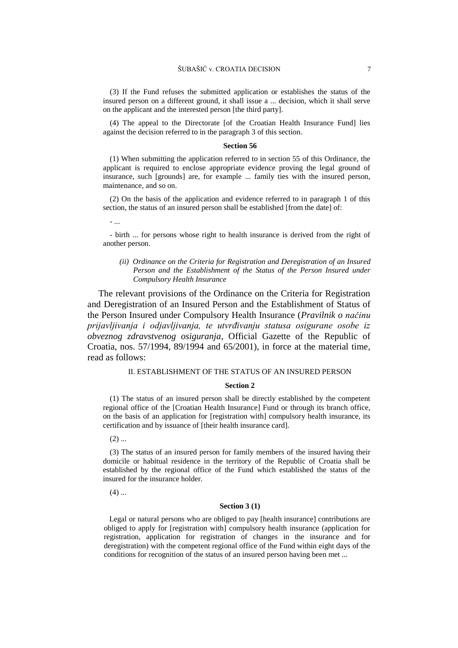(3) If the Fund refuses the submitted application or establishes the status of the insured person on a different ground, it shall issue a ... decision, which it shall serve on the applicant and the interested person [the third party].

(4) The appeal to the Directorate [of the Croatian Health Insurance Fund] lies against the decision referred to in the paragraph 3 of this section.

#### **Section 56**

(1) When submitting the application referred to in section 55 of this Ordinance, the applicant is required to enclose appropriate evidence proving the legal ground of insurance, such [grounds] are, for example ... family ties with the insured person, maintenance, and so on.

(2) On the basis of the application and evidence referred to in paragraph 1 of this section, the status of an insured person shall be established [from the date] of:

- ...

- birth ... for persons whose right to health insurance is derived from the right of another person.

*(ii) Ordinance on the Criteria for Registration and Deregistration of an Insured Person and the Establishment of the Status of the Person Insured under Compulsory Health Insurance*

The relevant provisions of the Ordinance on the Criteria for Registration and Deregistration of an Insured Person and the Establishment of Status of the Person Insured under Compulsory Health Insurance (*Pravilnik o načinu prijavljivanja i odjavljivanja, te utvrđivanju statusa osigurane osobe iz obveznog zdravstvenog osiguranja*, Official Gazette of the Republic of Croatia, nos. 57/1994, 89/1994 and 65/2001), in force at the material time, read as follows:

### II. ESTABLISHMENT OF THE STATUS OF AN INSURED PERSON

### **Section 2**

(1) The status of an insured person shall be directly established by the competent regional office of the [Croatian Health Insurance] Fund or through its branch office, on the basis of an application for [registration with] compulsory health insurance, its certification and by issuance of [their health insurance card].

 $(2)$  ...

(3) The status of an insured person for family members of the insured having their domicile or habitual residence in the territory of the Republic of Croatia shall be established by the regional office of the Fund which established the status of the insured for the insurance holder.

 $(4)$  ...

#### **Section 3 (1)**

Legal or natural persons who are obliged to pay [health insurance] contributions are obliged to apply for [registration with] compulsory health insurance (application for registration, application for registration of changes in the insurance and for deregistration) with the competent regional office of the Fund within eight days of the conditions for recognition of the status of an insured person having been met ...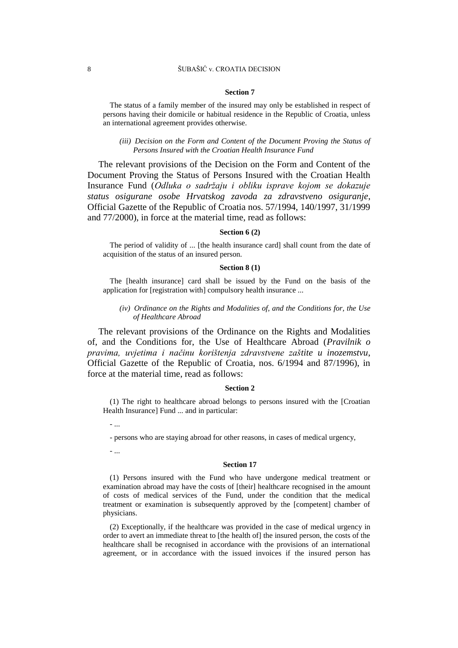### 8 ŠUBAŠIĆ v. CROATIA DECISION

#### **Section 7**

The status of a family member of the insured may only be established in respect of persons having their domicile or habitual residence in the Republic of Croatia, unless an international agreement provides otherwise.

*(iii) Decision on the Form and Content of the Document Proving the Status of Persons Insured with the Croatian Health Insurance Fund*

The relevant provisions of the Decision on the Form and Content of the Document Proving the Status of Persons Insured with the Croatian Health Insurance Fund (*Odluka o sadržaju i obliku isprave kojom se dokazuje status osigurane osobe Hrvatskog zavoda za zdravstveno osiguranje*, Official Gazette of the Republic of Croatia nos. 57/1994, 140/1997, 31/1999 and 77/2000), in force at the material time, read as follows:

#### **Section 6 (2)**

The period of validity of ... [the health insurance card] shall count from the date of acquisition of the status of an insured person.

## **Section 8 (1)**

The [health insurance] card shall be issued by the Fund on the basis of the application for [registration with] compulsory health insurance ...

## *(iv) Ordinance on the Rights and Modalities of, and the Conditions for, the Use of Healthcare Abroad*

The relevant provisions of the Ordinance on the Rights and Modalities of, and the Conditions for, the Use of Healthcare Abroad (*Pravilnik o pravima, uvjetima i načinu korištenja zdravstvene zaštite u inozemstvu*, Official Gazette of the Republic of Croatia, nos. 6/1994 and 87/1996), in force at the material time, read as follows:

#### **Section 2**

(1) The right to healthcare abroad belongs to persons insured with the [Croatian Health Insurance] Fund ... and in particular:

- ...

- persons who are staying abroad for other reasons, in cases of medical urgency,

- ...

#### **Section 17**

(1) Persons insured with the Fund who have undergone medical treatment or examination abroad may have the costs of [their] healthcare recognised in the amount of costs of medical services of the Fund, under the condition that the medical treatment or examination is subsequently approved by the [competent] chamber of physicians.

(2) Exceptionally, if the healthcare was provided in the case of medical urgency in order to avert an immediate threat to [the health of] the insured person, the costs of the healthcare shall be recognised in accordance with the provisions of an international agreement, or in accordance with the issued invoices if the insured person has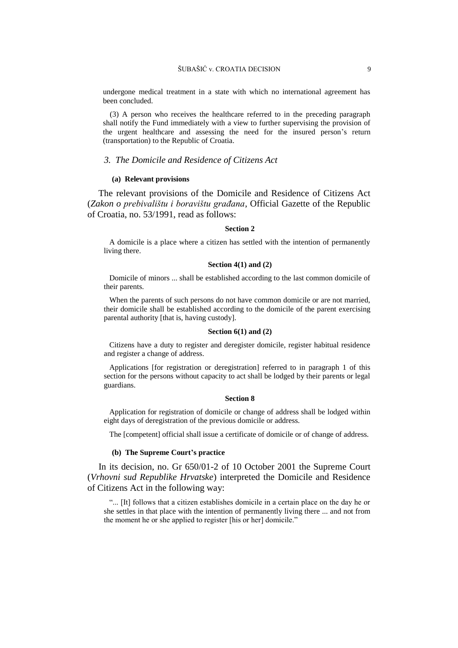undergone medical treatment in a state with which no international agreement has been concluded.

(3) A person who receives the healthcare referred to in the preceding paragraph shall notify the Fund immediately with a view to further supervising the provision of the urgent healthcare and assessing the need for the insured person's return (transportation) to the Republic of Croatia.

### *3. The Domicile and Residence of Citizens Act*

#### **(a) Relevant provisions**

The relevant provisions of the Domicile and Residence of Citizens Act (*Zakon o prebivalištu i boravištu građana*, Official Gazette of the Republic of Croatia, no. 53/1991, read as follows:

#### **Section 2**

A domicile is a place where a citizen has settled with the intention of permanently living there.

### **Section 4(1) and (2)**

Domicile of minors ... shall be established according to the last common domicile of their parents.

When the parents of such persons do not have common domicile or are not married. their domicile shall be established according to the domicile of the parent exercising parental authority [that is, having custody].

#### **Section 6(1) and (2)**

Citizens have a duty to register and deregister domicile, register habitual residence and register a change of address.

Applications [for registration or deregistration] referred to in paragraph 1 of this section for the persons without capacity to act shall be lodged by their parents or legal guardians.

### **Section 8**

Application for registration of domicile or change of address shall be lodged within eight days of deregistration of the previous domicile or address.

The [competent] official shall issue a certificate of domicile or of change of address.

## **(b) The Supreme Court's practice**

In its decision, no. Gr 650/01-2 of 10 October 2001 the Supreme Court (*Vrhovni sud Republike Hrvatske*) interpreted the Domicile and Residence of Citizens Act in the following way:

"... [It] follows that a citizen establishes domicile in a certain place on the day he or she settles in that place with the intention of permanently living there ... and not from the moment he or she applied to register [his or her] domicile."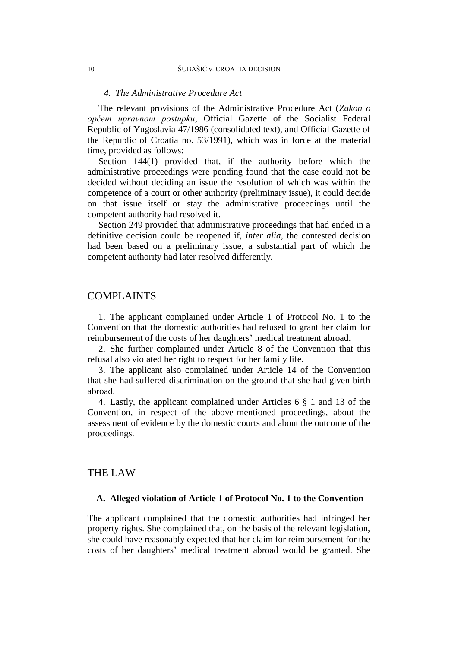#### *4. The Administrative Procedure Act*

The relevant provisions of the Administrative Procedure Act (*Zakon o općem upravnom postupku*, Official Gazette of the Socialist Federal Republic of Yugoslavia 47/1986 (consolidated text), and Official Gazette of the Republic of Croatia no. 53/1991), which was in force at the material time, provided as follows:

Section 144(1) provided that, if the authority before which the administrative proceedings were pending found that the case could not be decided without deciding an issue the resolution of which was within the competence of a court or other authority (preliminary issue), it could decide on that issue itself or stay the administrative proceedings until the competent authority had resolved it.

Section 249 provided that administrative proceedings that had ended in a definitive decision could be reopened if, *inter alia*, the contested decision had been based on a preliminary issue, a substantial part of which the competent authority had later resolved differently.

## COMPLAINTS

1. The applicant complained under Article 1 of Protocol No. 1 to the Convention that the domestic authorities had refused to grant her claim for reimbursement of the costs of her daughters' medical treatment abroad.

2. She further complained under Article 8 of the Convention that this refusal also violated her right to respect for her family life.

3. The applicant also complained under Article 14 of the Convention that she had suffered discrimination on the ground that she had given birth abroad.

4. Lastly, the applicant complained under Articles 6 § 1 and 13 of the Convention, in respect of the above-mentioned proceedings, about the assessment of evidence by the domestic courts and about the outcome of the proceedings.

## THE LAW

## **A. Alleged violation of Article 1 of Protocol No. 1 to the Convention**

The applicant complained that the domestic authorities had infringed her property rights. She complained that, on the basis of the relevant legislation, she could have reasonably expected that her claim for reimbursement for the costs of her daughters' medical treatment abroad would be granted. She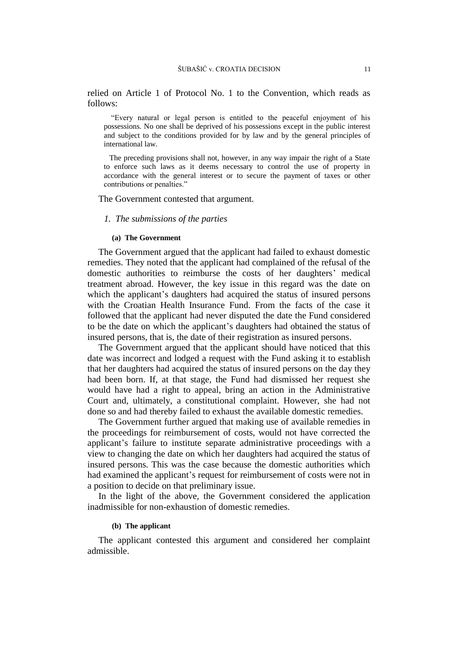relied on Article 1 of Protocol No. 1 to the Convention, which reads as follows:

"Every natural or legal person is entitled to the peaceful enjoyment of his possessions. No one shall be deprived of his possessions except in the public interest and subject to the conditions provided for by law and by the general principles of international law.

The preceding provisions shall not, however, in any way impair the right of a State to enforce such laws as it deems necessary to control the use of property in accordance with the general interest or to secure the payment of taxes or other contributions or penalties."

The Government contested that argument.

## *1. The submissions of the parties*

#### **(a) The Government**

The Government argued that the applicant had failed to exhaust domestic remedies. They noted that the applicant had complained of the refusal of the domestic authorities to reimburse the costs of her daughters' medical treatment abroad. However, the key issue in this regard was the date on which the applicant's daughters had acquired the status of insured persons with the Croatian Health Insurance Fund. From the facts of the case it followed that the applicant had never disputed the date the Fund considered to be the date on which the applicant's daughters had obtained the status of insured persons, that is, the date of their registration as insured persons.

The Government argued that the applicant should have noticed that this date was incorrect and lodged a request with the Fund asking it to establish that her daughters had acquired the status of insured persons on the day they had been born. If, at that stage, the Fund had dismissed her request she would have had a right to appeal, bring an action in the Administrative Court and, ultimately, a constitutional complaint. However, she had not done so and had thereby failed to exhaust the available domestic remedies.

The Government further argued that making use of available remedies in the proceedings for reimbursement of costs, would not have corrected the applicant's failure to institute separate administrative proceedings with a view to changing the date on which her daughters had acquired the status of insured persons. This was the case because the domestic authorities which had examined the applicant's request for reimbursement of costs were not in a position to decide on that preliminary issue.

In the light of the above, the Government considered the application inadmissible for non-exhaustion of domestic remedies.

## **(b) The applicant**

The applicant contested this argument and considered her complaint admissible.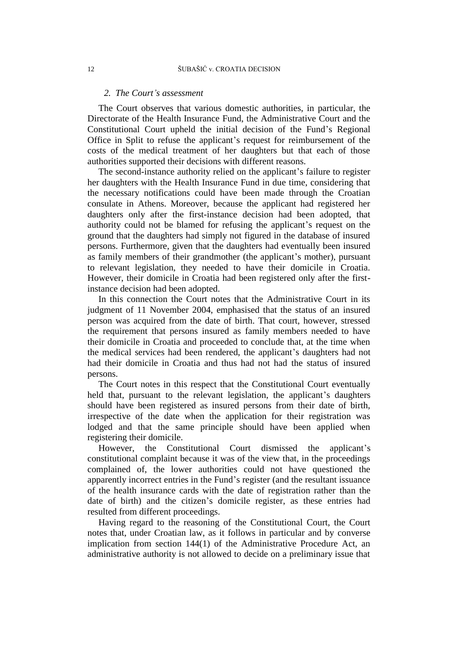## *2. The Court's assessment*

The Court observes that various domestic authorities, in particular, the Directorate of the Health Insurance Fund, the Administrative Court and the Constitutional Court upheld the initial decision of the Fund's Regional Office in Split to refuse the applicant's request for reimbursement of the costs of the medical treatment of her daughters but that each of those authorities supported their decisions with different reasons.

The second-instance authority relied on the applicant's failure to register her daughters with the Health Insurance Fund in due time, considering that the necessary notifications could have been made through the Croatian consulate in Athens. Moreover, because the applicant had registered her daughters only after the first-instance decision had been adopted, that authority could not be blamed for refusing the applicant's request on the ground that the daughters had simply not figured in the database of insured persons. Furthermore, given that the daughters had eventually been insured as family members of their grandmother (the applicant's mother), pursuant to relevant legislation, they needed to have their domicile in Croatia. However, their domicile in Croatia had been registered only after the firstinstance decision had been adopted.

In this connection the Court notes that the Administrative Court in its judgment of 11 November 2004, emphasised that the status of an insured person was acquired from the date of birth. That court, however, stressed the requirement that persons insured as family members needed to have their domicile in Croatia and proceeded to conclude that, at the time when the medical services had been rendered, the applicant's daughters had not had their domicile in Croatia and thus had not had the status of insured persons.

The Court notes in this respect that the Constitutional Court eventually held that, pursuant to the relevant legislation, the applicant's daughters should have been registered as insured persons from their date of birth, irrespective of the date when the application for their registration was lodged and that the same principle should have been applied when registering their domicile.

However, the Constitutional Court dismissed the applicant's constitutional complaint because it was of the view that, in the proceedings complained of, the lower authorities could not have questioned the apparently incorrect entries in the Fund's register (and the resultant issuance of the health insurance cards with the date of registration rather than the date of birth) and the citizen's domicile register, as these entries had resulted from different proceedings.

Having regard to the reasoning of the Constitutional Court, the Court notes that, under Croatian law, as it follows in particular and by converse implication from section 144(1) of the Administrative Procedure Act, an administrative authority is not allowed to decide on a preliminary issue that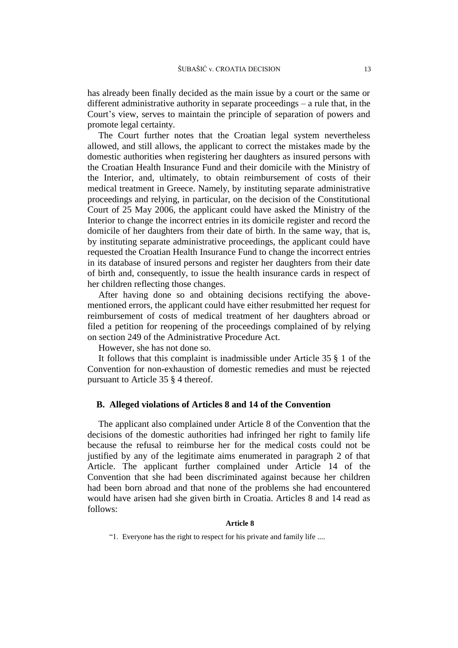has already been finally decided as the main issue by a court or the same or different administrative authority in separate proceedings – a rule that, in the Court's view, serves to maintain the principle of separation of powers and promote legal certainty.

The Court further notes that the Croatian legal system nevertheless allowed, and still allows, the applicant to correct the mistakes made by the domestic authorities when registering her daughters as insured persons with the Croatian Health Insurance Fund and their domicile with the Ministry of the Interior, and, ultimately, to obtain reimbursement of costs of their medical treatment in Greece. Namely, by instituting separate administrative proceedings and relying, in particular, on the decision of the Constitutional Court of 25 May 2006, the applicant could have asked the Ministry of the Interior to change the incorrect entries in its domicile register and record the domicile of her daughters from their date of birth. In the same way, that is, by instituting separate administrative proceedings, the applicant could have requested the Croatian Health Insurance Fund to change the incorrect entries in its database of insured persons and register her daughters from their date of birth and, consequently, to issue the health insurance cards in respect of her children reflecting those changes.

After having done so and obtaining decisions rectifying the abovementioned errors, the applicant could have either resubmitted her request for reimbursement of costs of medical treatment of her daughters abroad or filed a petition for reopening of the proceedings complained of by relying on section 249 of the Administrative Procedure Act.

However, she has not done so.

It follows that this complaint is inadmissible under Article 35 § 1 of the Convention for non-exhaustion of domestic remedies and must be rejected pursuant to Article 35 § 4 thereof.

## **B. Alleged violations of Articles 8 and 14 of the Convention**

The applicant also complained under Article 8 of the Convention that the decisions of the domestic authorities had infringed her right to family life because the refusal to reimburse her for the medical costs could not be justified by any of the legitimate aims enumerated in paragraph 2 of that Article. The applicant further complained under Article 14 of the Convention that she had been discriminated against because her children had been born abroad and that none of the problems she had encountered would have arisen had she given birth in Croatia. Articles 8 and 14 read as follows:

## **Article 8**

"1. Everyone has the right to respect for his private and family life ....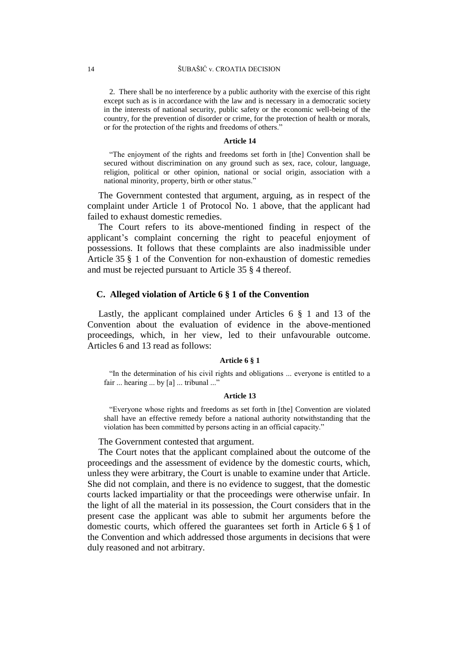2. There shall be no interference by a public authority with the exercise of this right except such as is in accordance with the law and is necessary in a democratic society in the interests of national security, public safety or the economic well-being of the country, for the prevention of disorder or crime, for the protection of health or morals, or for the protection of the rights and freedoms of others."

#### **Article 14**

"The enjoyment of the rights and freedoms set forth in [the] Convention shall be secured without discrimination on any ground such as sex, race, colour, language, religion, political or other opinion, national or social origin, association with a national minority, property, birth or other status."

The Government contested that argument, arguing, as in respect of the complaint under Article 1 of Protocol No. 1 above, that the applicant had failed to exhaust domestic remedies.

The Court refers to its above-mentioned finding in respect of the applicant's complaint concerning the right to peaceful enjoyment of possessions. It follows that these complaints are also inadmissible under Article 35 § 1 of the Convention for non-exhaustion of domestic remedies and must be rejected pursuant to Article 35 § 4 thereof.

## **C. Alleged violation of Article 6 § 1 of the Convention**

Lastly, the applicant complained under Articles 6 § 1 and 13 of the Convention about the evaluation of evidence in the above-mentioned proceedings, which, in her view, led to their unfavourable outcome. Articles 6 and 13 read as follows:

#### **Article 6 § 1**

"In the determination of his civil rights and obligations ... everyone is entitled to a fair ... hearing ... by [a] ... tribunal ..."

#### **Article 13**

"Everyone whose rights and freedoms as set forth in [the] Convention are violated shall have an effective remedy before a national authority notwithstanding that the violation has been committed by persons acting in an official capacity."

The Government contested that argument.

The Court notes that the applicant complained about the outcome of the proceedings and the assessment of evidence by the domestic courts, which, unless they were arbitrary, the Court is unable to examine under that Article. She did not complain, and there is no evidence to suggest, that the domestic courts lacked impartiality or that the proceedings were otherwise unfair. In the light of all the material in its possession, the Court considers that in the present case the applicant was able to submit her arguments before the domestic courts, which offered the guarantees set forth in Article 6 § 1 of the Convention and which addressed those arguments in decisions that were duly reasoned and not arbitrary.